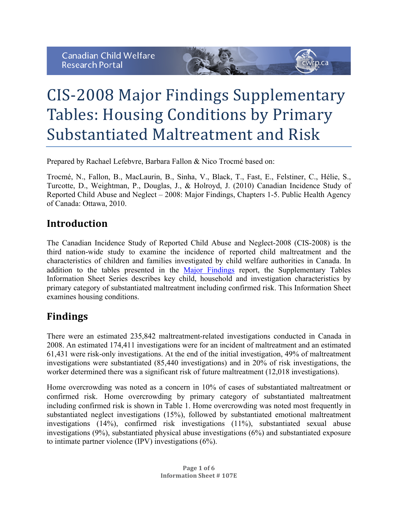

# CIS-2008 Major Findings Supplementary Tables: Housing Conditions by Primary Substantiated Maltreatment and Risk

Prepared by Rachael Lefebvre, Barbara Fallon & Nico Trocmé based on:

Trocmé, N., Fallon, B., MacLaurin, B., Sinha, V., Black, T., Fast, E., Felstiner, C., Hélie, S., Turcotte, D., Weightman, P., Douglas, J., & Holroyd, J. (2010) Canadian Incidence Study of Reported Child Abuse and Neglect – 2008: Major Findings, Chapters 1-5. Public Health Agency of Canada: Ottawa, 2010.

### **Introduction**

The Canadian Incidence Study of Reported Child Abuse and Neglect-2008 (CIS-2008) is the third nation-wide study to examine the incidence of reported child maltreatment and the characteristics of children and families investigated by child welfare authorities in Canada. In addition to the tables presented in the Major Findings report, the Supplementary Tables Information Sheet Series describes key child, household and investigation characteristics by primary category of substantiated maltreatment including confirmed risk. This Information Sheet examines housing conditions.

## **Findings**

There were an estimated 235,842 maltreatment-related investigations conducted in Canada in 2008. An estimated 174,411 investigations were for an incident of maltreatment and an estimated 61,431 were risk-only investigations. At the end of the initial investigation, 49% of maltreatment investigations were substantiated (85,440 investigations) and in 20% of risk investigations, the worker determined there was a significant risk of future maltreatment (12,018 investigations).

Home overcrowding was noted as a concern in 10% of cases of substantiated maltreatment or confirmed risk. Home overcrowding by primary category of substantiated maltreatment including confirmed risk is shown in Table 1. Home overcrowding was noted most frequently in substantiated neglect investigations (15%), followed by substantiated emotional maltreatment investigations (14%), confirmed risk investigations (11%), substantiated sexual abuse investigations (9%), substantiated physical abuse investigations (6%) and substantiated exposure to intimate partner violence (IPV) investigations (6%).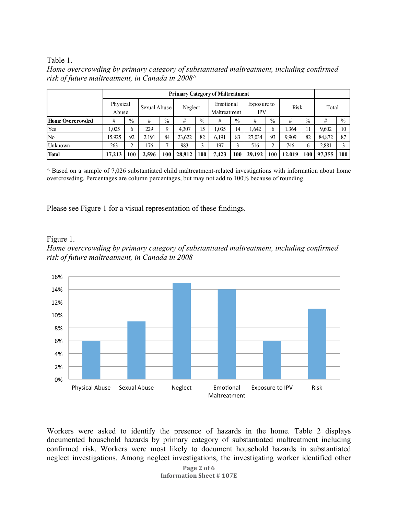#### Table 1.

| Home overcrowding by primary category of substantiated maltreatment, including confirmed |  |
|------------------------------------------------------------------------------------------|--|
| risk of future maltreatment, in Canada in $2008^{\wedge}$                                |  |

|                  | <b>Primary Category of Maltreatment</b> |               |              |               |         |               |                           |               |                    |      |             |               |        |               |
|------------------|-----------------------------------------|---------------|--------------|---------------|---------|---------------|---------------------------|---------------|--------------------|------|-------------|---------------|--------|---------------|
|                  | Physical<br>Abuse                       |               | Sexual Abuse |               | Neglect |               | Emotional<br>Maltreatment |               | Exposure to<br>IPV |      | <b>Risk</b> |               | Total  |               |
| Home Overcrowded | #                                       | $\frac{0}{0}$ | #            | $\frac{0}{0}$ | #       | $\frac{0}{0}$ | #                         | $\frac{0}{0}$ | #                  | $\%$ | #           | $\frac{0}{0}$ | #      | $\frac{0}{0}$ |
| Yes              | 1.025                                   | b             | 229          | Q             | 4.307   | 15            | 1,035                     | 14            | .642               | 6    | 1,364       | 11            | 9,602  | 10            |
| N <sub>0</sub>   | 15,925                                  | 92            | 2.191        | 84            | 23,622  | 82            | 6,191                     | 83            | 27.034             | 93   | 9.909       | 82            | 84,872 | 87            |
| Unknown          | 263                                     | ⌒             | 176          |               | 983     | 3             | 197                       |               | 516                | ↑    | 746         | 6             | 2,881  |               |
| Total            | 17.213                                  | 100           | 2.596        | 100           | 28.912  | 100           | 7.423                     | 100           | 29,192             | 100  | 12.019      | 100           | 97,355 | 100           |

 $\land$  Based on a sample of 7,026 substantiated child maltreatment-related investigations with information about home overcrowding. Percentages are column percentages, but may not add to 100% because of rounding.

Please see Figure 1 for a visual representation of these findings.

#### Figure 1.





Workers were asked to identify the presence of hazards in the home. Table 2 displays documented household hazards by primary category of substantiated maltreatment including confirmed risk. Workers were most likely to document household hazards in substantiated neglect investigations. Among neglect investigations, the investigating worker identified other

> **Page 2 of 6 Information Sheet # 107E**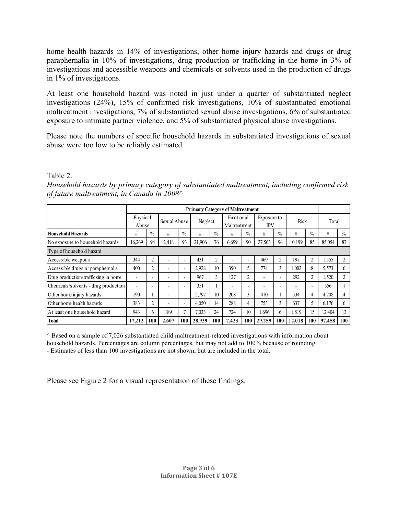home health hazards in 14% of investigations, other home injury hazards and drugs or drug paraphernalia in 10% of investigations, drug production or trafficking in the home in 3% of investigations and accessible weapons and chemicals or solvents used in the production of drugs in 1% of investigations.

At least one household hazard was noted in just under a quarter of substantiated neglect investigations (24%), 15% of confirmed risk investigations, 10% of substantiated emotional maltreatment investigations, 7% of substantiated sexual abuse investigations, 6% of substantiated exposure to intimate partner violence, and 5% of substantiated physical abuse investigations.

Please note the numbers of specific household hazards in substantiated investigations of sexual abuse were too low to be reliably estimated.

#### Table 2.

*Household hazards by primary category of substantiated maltreatment, including confirmed risk of future maltreatment, in Canada in 2008^*

|                                      | <b>Primary Category of Maltreatment</b> |                          |              |                          |         |      |                           |                          |                           |                          |                          |                          |        |               |
|--------------------------------------|-----------------------------------------|--------------------------|--------------|--------------------------|---------|------|---------------------------|--------------------------|---------------------------|--------------------------|--------------------------|--------------------------|--------|---------------|
|                                      | Physical<br>Abuse                       |                          | Sexual Abuse |                          | Neglect |      | Emotional<br>Maltreatment |                          | Exposure to<br><b>IPV</b> |                          | <b>Risk</b>              |                          | Total  |               |
| <b>Household Hazards</b>             | #                                       | $\%$                     | #            | $\%$                     | #       | $\%$ | #                         | $\%$                     | #                         | $\frac{0}{0}$            | #                        | $\frac{0}{0}$            | #      | $\frac{0}{0}$ |
| No exposure to household hazards     | 16,269                                  | 94                       | 2,418        | 93                       | 21,906  | 76   | 6,699                     | 90                       | 27,563                    | 94                       | 10,199                   | 85                       | 85,054 | 87            |
| Type of household hazard             |                                         |                          |              |                          |         |      |                           |                          |                           |                          |                          |                          |        |               |
| Accessible weapons                   | 344                                     | 2                        |              | ٠                        | 431     | 2    |                           |                          | 469                       | $\overline{c}$           | 197                      | $\overline{c}$           | 1,555  | 2             |
| Accessible drugs or paraphernalia    | 400                                     | 2                        |              |                          | 2,928   | 10   | 390                       | 5                        | 774                       | 3                        | .002                     | 8                        | 5,573  | 6             |
| Drug production/trafficking in home  | $\overline{\phantom{0}}$                | $\overline{\phantom{0}}$ |              | Ξ.                       | 967     | 3    | 127                       | $\overline{2}$           | ۰                         | $\overline{\phantom{a}}$ | 292                      | $\overline{c}$           | 1,520  | 2             |
| Chemicals/solvents - drug production | ۰                                       | ۰                        |              | $\overline{\phantom{0}}$ | 351     |      | $\overline{\phantom{0}}$  | $\overline{\phantom{0}}$ | $\overline{\phantom{a}}$  | $\overline{\phantom{0}}$ | $\overline{\phantom{0}}$ | $\overline{\phantom{0}}$ | 556    |               |
| Other home injury hazards            | 190                                     |                          |              | $\overline{\phantom{0}}$ | 2,797   | 10   | 208                       | 3                        | 410                       |                          | 534                      | 4                        | 4,208  | 4             |
| Other home health hazards            | 383                                     | 2                        |              | ٠                        | 4,050   | 14   | 288                       | 4                        | 753                       | 3                        | 637                      |                          | 6,176  | 6             |
| At least one household hazard        | 943                                     | 6                        | 189          | 7                        | 7,033   | 24   | 724                       | 10 <sup>2</sup>          | 1,696                     | 6                        | 1,819                    | 15                       | 12,404 | 13            |
| <b>Total</b>                         | 17.212                                  | 100                      | 2.607        | 100                      | 28.939  | 100  | 7.423                     | 100                      | 29,259                    | 100                      | 12.018                   | 100                      | 97.458 | 100           |

 $^{\wedge}$  Based on a sample of 7,026 substantiated child maltreatment-related investigations with information about household hazards. Percentages are column percentages, but may not add to 100% because of rounding. - Estimates of less than 100 investigations are not shown, but are included in the total.

Please see Figure 2 for a visual representation of these findings.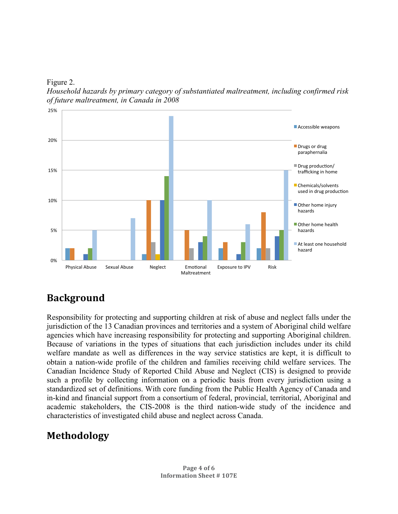Figure 2.

*Household hazards by primary category of substantiated maltreatment, including confirmed risk of future maltreatment, in Canada in 2008*



## **Background**

Responsibility for protecting and supporting children at risk of abuse and neglect falls under the jurisdiction of the 13 Canadian provinces and territories and a system of Aboriginal child welfare agencies which have increasing responsibility for protecting and supporting Aboriginal children. Because of variations in the types of situations that each jurisdiction includes under its child welfare mandate as well as differences in the way service statistics are kept, it is difficult to obtain a nation-wide profile of the children and families receiving child welfare services. The Canadian Incidence Study of Reported Child Abuse and Neglect (CIS) is designed to provide such a profile by collecting information on a periodic basis from every jurisdiction using a standardized set of definitions. With core funding from the Public Health Agency of Canada and in-kind and financial support from a consortium of federal, provincial, territorial, Aboriginal and academic stakeholders, the CIS-2008 is the third nation-wide study of the incidence and characteristics of investigated child abuse and neglect across Canada.

## **Methodology**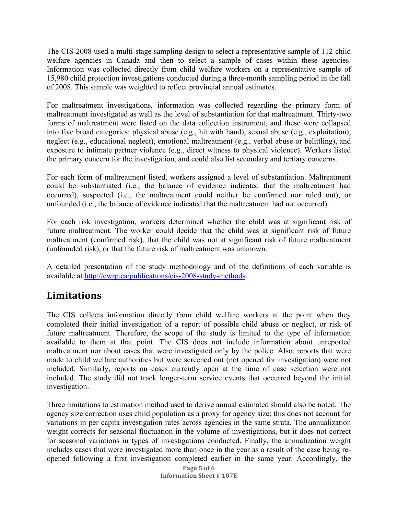The CIS-2008 used a multi-stage sampling design to select a representative sample of 112 child welfare agencies in Canada and then to select a sample of cases within these agencies. Information was collected directly from child welfare workers on a representative sample of 15,980 child protection investigations conducted during a three-month sampling period in the fall of 2008. This sample was weighted to reflect provincial annual estimates.

For maltreatment investigations, information was collected regarding the primary form of maltreatment investigated as well as the level of substantiation for that maltreatment. Thirty-two forms of maltreatment were listed on the data collection instrument, and these were collapsed into five broad categories: physical abuse (e.g., hit with hand), sexual abuse (e.g., exploitation), neglect (e.g., educational neglect), emotional maltreatment (e.g., verbal abuse or belittling), and exposure to intimate partner violence (e.g., direct witness to physical violence). Workers listed the primary concern for the investigation, and could also list secondary and tertiary concerns.

For each form of maltreatment listed, workers assigned a level of substantiation. Maltreatment could be substantiated (i.e., the balance of evidence indicated that the maltreatment had occurred), suspected (i.e., the maltreatment could neither be confirmed nor ruled out), or unfounded (i.e., the balance of evidence indicated that the maltreatment had not occurred).

For each risk investigation, workers determined whether the child was at significant risk of future maltreatment. The worker could decide that the child was at significant risk of future maltreatment (confirmed risk), that the child was not at significant risk of future maltreatment (unfounded risk), or that the future risk of maltreatment was unknown.

A detailed presentation of the study methodology and of the definitions of each variable is available at http://cwrp.ca/publications/cis-2008-study-methods.

## **Limitations**

The CIS collects information directly from child welfare workers at the point when they completed their initial investigation of a report of possible child abuse or neglect, or risk of future maltreatment. Therefore, the scope of the study is limited to the type of information available to them at that point. The CIS does not include information about unreported maltreatment nor about cases that were investigated only by the police. Also, reports that were made to child welfare authorities but were screened out (not opened for investigation) were not included. Similarly, reports on cases currently open at the time of case selection were not included. The study did not track longer-term service events that occurred beyond the initial investigation.

Three limitations to estimation method used to derive annual estimated should also be noted. The agency size correction uses child population as a proxy for agency size; this does not account for variations in per capita investigation rates across agencies in the same strata. The annualization weight corrects for seasonal fluctuation in the volume of investigations, but it does not correct for seasonal variations in types of investigations conducted. Finally, the annualization weight includes cases that were investigated more than once in the year as a result of the case being reopened following a first investigation completed earlier in the same year. Accordingly, the

> **Page 5 of 6 Information Sheet # 107E**